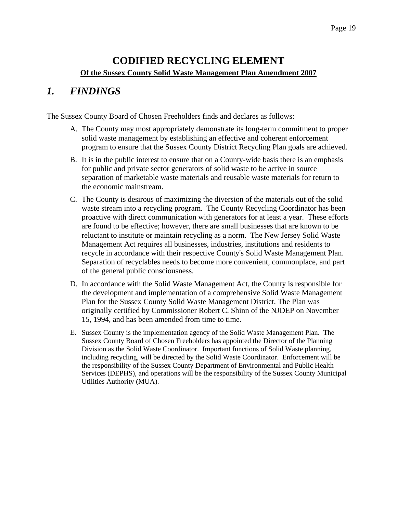### **CODIFIED RECYCLING ELEMENT Of the Sussex County Solid Waste Management Plan Amendment 2007**

### *1. FINDINGS*

The Sussex County Board of Chosen Freeholders finds and declares as follows:

- A. The County may most appropriately demonstrate its long-term commitment to proper solid waste management by establishing an effective and coherent enforcement program to ensure that the Sussex County District Recycling Plan goals are achieved.
- B. It is in the public interest to ensure that on a County-wide basis there is an emphasis for public and private sector generators of solid waste to be active in source separation of marketable waste materials and reusable waste materials for return to the economic mainstream.
- C. The County is desirous of maximizing the diversion of the materials out of the solid waste stream into a recycling program. The County Recycling Coordinator has been proactive with direct communication with generators for at least a year. These efforts are found to be effective; however, there are small businesses that are known to be reluctant to institute or maintain recycling as a norm. The New Jersey Solid Waste Management Act requires all businesses, industries, institutions and residents to recycle in accordance with their respective County's Solid Waste Management Plan. Separation of recyclables needs to become more convenient, commonplace, and part of the general public consciousness.
- D. In accordance with the Solid Waste Management Act, the County is responsible for the development and implementation of a comprehensive Solid Waste Management Plan for the Sussex County Solid Waste Management District. The Plan was originally certified by Commissioner Robert C. Shinn of the NJDEP on November 15, 1994, and has been amended from time to time.
- E. Sussex County is the implementation agency of the Solid Waste Management Plan. The Sussex County Board of Chosen Freeholders has appointed the Director of the Planning Division as the Solid Waste Coordinator. Important functions of Solid Waste planning, including recycling, will be directed by the Solid Waste Coordinator. Enforcement will be the responsibility of the Sussex County Department of Environmental and Public Health Services (DEPHS), and operations will be the responsibility of the Sussex County Municipal Utilities Authority (MUA).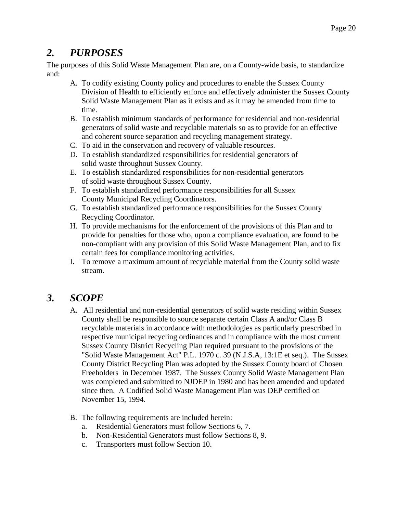## *2. PURPOSES*

The purposes of this Solid Waste Management Plan are, on a County-wide basis, to standardize and:

- A. To codify existing County policy and procedures to enable the Sussex County Division of Health to efficiently enforce and effectively administer the Sussex County Solid Waste Management Plan as it exists and as it may be amended from time to time.
- B. To establish minimum standards of performance for residential and non-residential generators of solid waste and recyclable materials so as to provide for an effective and coherent source separation and recycling management strategy.
- C. To aid in the conservation and recovery of valuable resources.
- D. To establish standardized responsibilities for residential generators of solid waste throughout Sussex County.
- E. To establish standardized responsibilities for non-residential generators of solid waste throughout Sussex County.
- F. To establish standardized performance responsibilities for all Sussex County Municipal Recycling Coordinators.
- G. To establish standardized performance responsibilities for the Sussex County Recycling Coordinator.
- H. To provide mechanisms for the enforcement of the provisions of this Plan and to provide for penalties for those who, upon a compliance evaluation, are found to be non-compliant with any provision of this Solid Waste Management Plan, and to fix certain fees for compliance monitoring activities.
- I. To remove a maximum amount of recyclable material from the County solid waste stream.

## *3. SCOPE*

- A. All residential and non-residential generators of solid waste residing within Sussex County shall be responsible to source separate certain Class A and/or Class B recyclable materials in accordance with methodologies as particularly prescribed in respective municipal recycling ordinances and in compliance with the most current Sussex County District Recycling Plan required pursuant to the provisions of the "Solid Waste Management Act" P.L. 1970 c. 39 (N.J.S.A, 13:1E et seq.). The Sussex County District Recycling Plan was adopted by the Sussex County board of Chosen Freeholders in December 1987. The Sussex County Solid Waste Management Plan was completed and submitted to NJDEP in 1980 and has been amended and updated since then. A Codified Solid Waste Management Plan was DEP certified on November 15, 1994.
- B. The following requirements are included herein:
	- a. Residential Generators must follow Sections 6, 7.
	- b. Non-Residential Generators must follow Sections 8, 9.
	- c. Transporters must follow Section 10.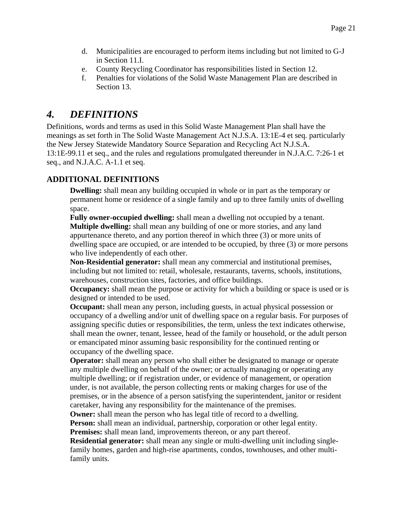- d. Municipalities are encouraged to perform items including but not limited to G-J in Section 11.I.
- e. County Recycling Coordinator has responsibilities listed in Section 12.
- f. Penalties for violations of the Solid Waste Management Plan are described in Section 13.

## *4. DEFINITIONS*

Definitions, words and terms as used in this Solid Waste Management Plan shall have the meanings as set forth in The Solid Waste Management Act N.J.S.A. 13:1E-4 et seq. particularly the New Jersey Statewide Mandatory Source Separation and Recycling Act N.J.S.A. 13:1E-99.11 et seq., and the rules and regulations promulgated thereunder in N.J.A.C. 7:26-1 et seq., and N.J.A.C. A-1.1 et seq.

### **ADDITIONAL DEFINITIONS**

**Dwelling:** shall mean any building occupied in whole or in part as the temporary or permanent home or residence of a single family and up to three family units of dwelling space.

**Fully owner-occupied dwelling:** shall mean a dwelling not occupied by a tenant. **Multiple dwelling:** shall mean any building of one or more stories, and any land appurtenance thereto, and any portion thereof in which three (3) or more units of dwelling space are occupied, or are intended to be occupied, by three (3) or more persons who live independently of each other.

**Non-Residential generator:** shall mean any commercial and institutional premises, including but not limited to: retail, wholesale, restaurants, taverns, schools, institutions, warehouses, construction sites, factories, and office buildings.

**Occupancy:** shall mean the purpose or activity for which a building or space is used or is designed or intended to be used.

**Occupant:** shall mean any person, including guests, in actual physical possession or occupancy of a dwelling and/or unit of dwelling space on a regular basis. For purposes of assigning specific duties or responsibilities, the term, unless the text indicates otherwise, shall mean the owner, tenant, lessee, head of the family or household, or the adult person or emancipated minor assuming basic responsibility for the continued renting or occupancy of the dwelling space.

**Operator:** shall mean any person who shall either be designated to manage or operate any multiple dwelling on behalf of the owner; or actually managing or operating any multiple dwelling; or if registration under, or evidence of management, or operation under, is not available, the person collecting rents or making charges for use of the premises, or in the absence of a person satisfying the superintendent, janitor or resident caretaker, having any responsibility for the maintenance of the premises.

**Owner:** shall mean the person who has legal title of record to a dwelling.

**Person:** shall mean an individual, partnership, corporation or other legal entity.

**Premises:** shall mean land, improvements thereon, or any part thereof.

**Residential generator:** shall mean any single or multi-dwelling unit including singlefamily homes, garden and high-rise apartments, condos, townhouses, and other multifamily units.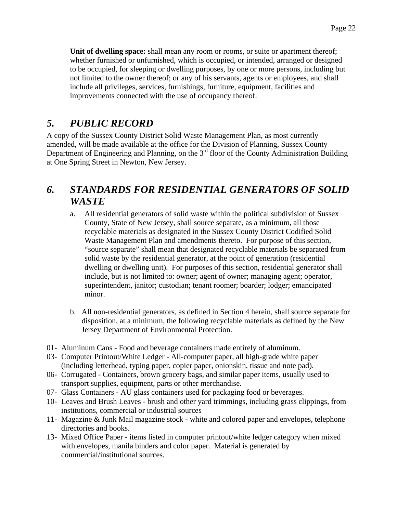**Unit of dwelling space:** shall mean any room or rooms, or suite or apartment thereof; whether furnished or unfurnished, which is occupied, or intended, arranged or designed to be occupied, for sleeping or dwelling purposes, by one or more persons, including but not limited to the owner thereof; or any of his servants, agents or employees, and shall include all privileges, services, furnishings, furniture, equipment, facilities and improvements connected with the use of occupancy thereof.

## *5. PUBLIC RECORD*

A copy of the Sussex County District Solid Waste Management Plan, as most currently amended, will be made available at the office for the Division of Planning, Sussex County Department of Engineering and Planning, on the 3<sup>rd</sup> floor of the County Administration Building at One Spring Street in Newton, New Jersey.

# *6. STANDARDS FOR RESIDENTIAL GENERATORS OF SOLID WASTE*

- a. All residential generators of solid waste within the political subdivision of Sussex County, State of New Jersey, shall source separate, as a minimum, all those recyclable materials as designated in the Sussex County District Codified Solid Waste Management Plan and amendments thereto. For purpose of this section, "source separate" shall mean that designated recyclable materials be separated from solid waste by the residential generator, at the point of generation (residential dwelling or dwelling unit). For purposes of this section, residential generator shall include, but is not limited to: owner; agent of owner; managing agent; operator, superintendent, janitor; custodian; tenant roomer; boarder; lodger; emancipated minor.
- b. All non-residential generators, as defined in Section 4 herein, shall source separate for disposition, at a minimum, the following recyclable materials as defined by the New Jersey Department of Environmental Protection.
- 01- Aluminum Cans Food and beverage containers made entirely of aluminum.
- 03- Computer Printout/White Ledger All-computer paper, all high-grade white paper (including letterhead, typing paper, copier paper, onionskin, tissue and note pad).
- 06- Corrugated Containers, brown grocery bags, and similar paper items, usually used to transport supplies, equipment, parts or other merchandise.
- 07- Glass Containers AU glass containers used for packaging food or beverages.
- 10- Leaves and Brush Leaves brush and other yard trimmings, including grass clippings, from institutions, commercial or industrial sources
- 11- Magazine & Junk Mail magazine stock white and colored paper and envelopes, telephone directories and books.
- 13- Mixed Office Paper items listed in computer printout/white ledger category when mixed with envelopes, manila binders and color paper. Material is generated by commercial/institutional sources.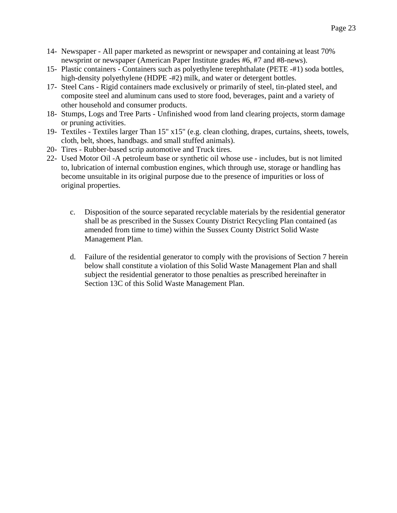- 14- Newspaper All paper marketed as newsprint or newspaper and containing at least 70% newsprint or newspaper (American Paper Institute grades #6, #7 and #8-news).
- 15- Plastic containers Containers such as polyethylene terephthalate (PETE -#1) soda bottles, high-density polyethylene (HDPE -#2) milk, and water or detergent bottles.
- 17- Steel Cans Rigid containers made exclusively or primarily of steel, tin-plated steel, and composite steel and aluminum cans used to store food, beverages, paint and a variety of other household and consumer products.
- 18- Stumps, Logs and Tree Parts Unfinished wood from land clearing projects, storm damage or pruning activities.
- 19- Textiles Textiles larger Than 15" x15" (e.g. clean clothing, drapes, curtains, sheets, towels, cloth, belt, shoes, handbags. and small stuffed animals).
- 20- Tires Rubber-based scrip automotive and Truck tires.
- 22- Used Motor Oil -A petroleum base or synthetic oil whose use includes, but is not limited to, lubrication of internal combustion engines, which through use, storage or handling has become unsuitable in its original purpose due to the presence of impurities or loss of original properties.
	- c. Disposition of the source separated recyclable materials by the residential generator shall be as prescribed in the Sussex County District Recycling Plan contained (as amended from time to time) within the Sussex County District Solid Waste Management Plan.
	- d. Failure of the residential generator to comply with the provisions of Section 7 herein below shall constitute a violation of this Solid Waste Management Plan and shall subject the residential generator to those penalties as prescribed hereinafter in Section 13C of this Solid Waste Management Plan.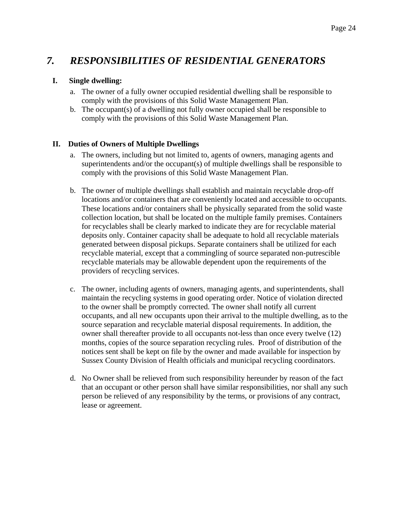### *7. RESPONSIBILITIES OF RESIDENTIAL GENERATORS*

#### **I. Single dwelling:**

- a. The owner of a fully owner occupied residential dwelling shall be responsible to comply with the provisions of this Solid Waste Management Plan.
- b. The occupant(s) of a dwelling not fully owner occupied shall be responsible to comply with the provisions of this Solid Waste Management Plan.

#### **II. Duties of Owners of Multiple Dwellings**

- a. The owners, including but not limited to, agents of owners, managing agents and superintendents and/or the occupant(s) of multiple dwellings shall be responsible to comply with the provisions of this Solid Waste Management Plan.
- b. The owner of multiple dwellings shall establish and maintain recyclable drop-off locations and/or containers that are conveniently located and accessible to occupants. These locations and/or containers shall be physically separated from the solid waste collection location, but shall be located on the multiple family premises. Containers for recyclables shall be clearly marked to indicate they are for recyclable material deposits only. Container capacity shall be adequate to hold all recyclable materials generated between disposal pickups. Separate containers shall be utilized for each recyclable material, except that a commingling of source separated non-putrescible recyclable materials may be allowable dependent upon the requirements of the providers of recycling services.
- c. The owner, including agents of owners, managing agents, and superintendents, shall maintain the recycling systems in good operating order. Notice of violation directed to the owner shall be promptly corrected. The owner shall notify all current occupants, and all new occupants upon their arrival to the multiple dwelling, as to the source separation and recyclable material disposal requirements. In addition, the owner shall thereafter provide to all occupants not-less than once every twelve (12) months, copies of the source separation recycling rules. Proof of distribution of the notices sent shall be kept on file by the owner and made available for inspection by Sussex County Division of Health officials and municipal recycling coordinators.
- d. No Owner shall be relieved from such responsibility hereunder by reason of the fact that an occupant or other person shall have similar responsibilities, nor shall any such person be relieved of any responsibility by the terms, or provisions of any contract, lease or agreement.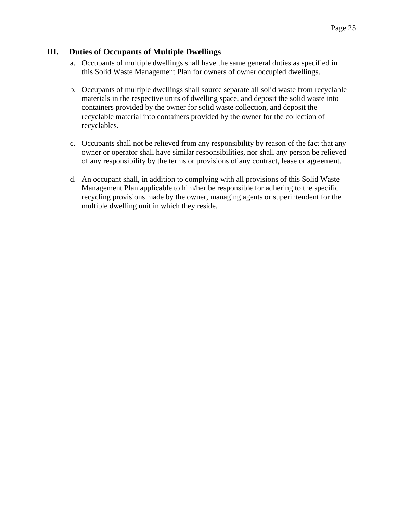#### **III. Duties of Occupants of Multiple Dwellings**

- a. Occupants of multiple dwellings shall have the same general duties as specified in this Solid Waste Management Plan for owners of owner occupied dwellings.
- b. Occupants of multiple dwellings shall source separate all solid waste from recyclable materials in the respective units of dwelling space, and deposit the solid waste into containers provided by the owner for solid waste collection, and deposit the recyclable material into containers provided by the owner for the collection of recyclables.
- c. Occupants shall not be relieved from any responsibility by reason of the fact that any owner or operator shall have similar responsibilities, nor shall any person be relieved of any responsibility by the terms or provisions of any contract, lease or agreement.
- d. An occupant shall, in addition to complying with all provisions of this Solid Waste Management Plan applicable to him/her be responsible for adhering to the specific recycling provisions made by the owner, managing agents or superintendent for the multiple dwelling unit in which they reside.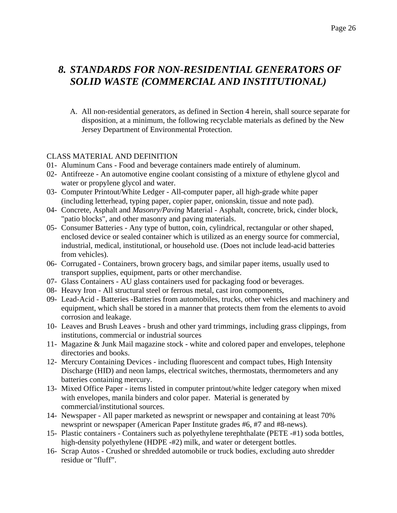## *8. STANDARDS FOR NON-RESIDENTIAL GENERATORS OF SOLID WASTE (COMMERCIAL AND INSTITUTIONAL)*

A. All non-residential generators, as defined in Section 4 herein, shall source separate for disposition, at a minimum, the following recyclable materials as defined by the New Jersey Department of Environmental Protection.

#### CLASS MATERIAL AND DEFINITION

- 01- Aluminum Cans Food and beverage containers made entirely of aluminum.
- 02- Antifreeze An automotive engine coolant consisting of a mixture of ethylene glycol and water or propylene glycol and water.
- 03- Computer Printout/White Ledger All-computer paper, all high-grade white paper (including letterhead, typing paper, copier paper, onionskin, tissue and note pad).
- 04- Concrete, Asphalt and *Masonry/Paving* Material Asphalt, concrete, brick, cinder block, "patio blocks", and other masonry and paving materials.
- 05- Consumer Batteries Any type of button, coin, cylindrical, rectangular or other shaped, enclosed device or sealed container which is utilized as an energy source for commercial, industrial, medical, institutional, or household use. (Does not include lead-acid batteries from vehicles).
- 06- Corrugated Containers, brown grocery bags, and similar paper items, usually used to transport supplies, equipment, parts or other merchandise.
- 07- Glass Containers AU glass containers used for packaging food or beverages.
- 08- Heavy Iron All structural steel or ferrous metal, cast iron components,
- 09- Lead-Acid Batteries -Batteries from automobiles, trucks, other vehicles and machinery and equipment, which shall be stored in a manner that protects them from the elements to avoid corrosion and leakage.
- 10- Leaves and Brush Leaves brush and other yard trimmings, including grass clippings, from institutions, commercial or industrial sources
- 11- Magazine & Junk Mail magazine stock white and colored paper and envelopes, telephone directories and books.
- 12- Mercury Containing Devices including fluorescent and compact tubes, High Intensity Discharge (HID) and neon lamps, electrical switches, thermostats, thermometers and any batteries containing mercury.
- 13- Mixed Office Paper items listed in computer printout/white ledger category when mixed with envelopes, manila binders and color paper. Material is generated by commercial/institutional sources.
- 14- Newspaper All paper marketed as newsprint or newspaper and containing at least 70% newsprint or newspaper (American Paper Institute grades #6, #7 and #8-news).
- 15- Plastic containers Containers such as polyethylene terephthalate (PETE -#1) soda bottles, high-density polyethylene (HDPE -#2) milk, and water or detergent bottles.
- 16- Scrap Autos Crushed or shredded automobile or truck bodies, excluding auto shredder residue or "fluff".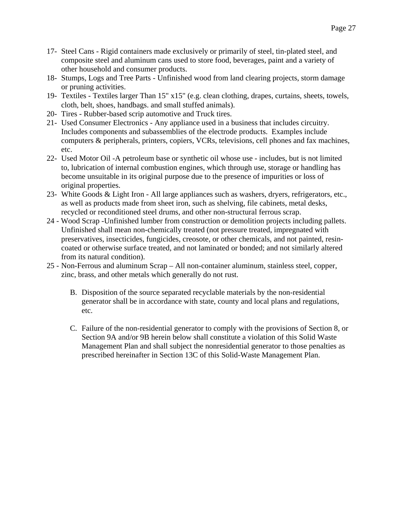- 17- Steel Cans Rigid containers made exclusively or primarily of steel, tin-plated steel, and composite steel and aluminum cans used to store food, beverages, paint and a variety of other household and consumer products.
- 18- Stumps, Logs and Tree Parts Unfinished wood from land clearing projects, storm damage or pruning activities.
- 19- Textiles Textiles larger Than 15" x15" (e.g. clean clothing, drapes, curtains, sheets, towels, cloth, belt, shoes, handbags. and small stuffed animals).
- 20- Tires Rubber-based scrip automotive and Truck tires.
- 21- Used Consumer Electronics Any appliance used in a business that includes circuitry. Includes components and subassemblies of the electrode products. Examples include computers & peripherals, printers, copiers, VCRs, televisions, cell phones and fax machines, etc.
- 22- Used Motor Oil -A petroleum base or synthetic oil whose use includes, but is not limited to, lubrication of internal combustion engines, which through use, storage or handling has become unsuitable in its original purpose due to the presence of impurities or loss of original properties.
- 23- White Goods & Light Iron All large appliances such as washers, dryers, refrigerators, etc., as well as products made from sheet iron, such as shelving, file cabinets, metal desks, recycled or reconditioned steel drums, and other non-structural ferrous scrap.
- 24 Wood Scrap -Unfinished lumber from construction or demolition projects including pallets. Unfinished shall mean non-chemically treated (not pressure treated, impregnated with preservatives, insecticides, fungicides, creosote, or other chemicals, and not painted, resincoated or otherwise surface treated, and not laminated or bonded; and not similarly altered from its natural condition).
- 25 Non-Ferrous and aluminum Scrap All non-container aluminum, stainless steel, copper, zinc, brass, and other metals which generally do not rust.
	- B. Disposition of the source separated recyclable materials by the non-residential generator shall be in accordance with state, county and local plans and regulations, etc.
	- C. Failure of the non-residential generator to comply with the provisions of Section 8, or Section 9A and/or 9B herein below shall constitute a violation of this Solid Waste Management Plan and shall subject the nonresidential generator to those penalties as prescribed hereinafter in Section 13C of this Solid-Waste Management Plan.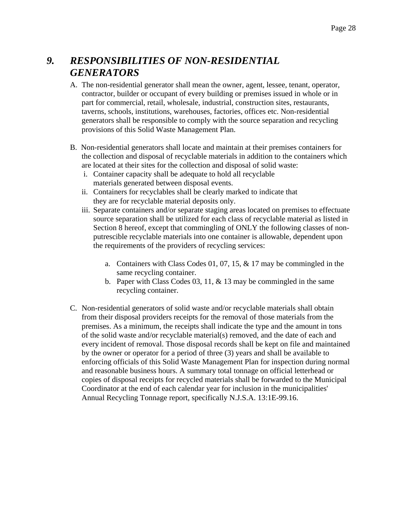# *9. RESPONSIBILITIES OF NON-RESIDENTIAL GENERATORS*

- A. The non-residential generator shall mean the owner, agent, lessee, tenant, operator, contractor, builder or occupant of every building or premises issued in whole or in part for commercial, retail, wholesale, industrial, construction sites, restaurants, taverns, schools, institutions, warehouses, factories, offices etc. Non-residential generators shall be responsible to comply with the source separation and recycling provisions of this Solid Waste Management Plan.
- B. Non-residential generators shall locate and maintain at their premises containers for the collection and disposal of recyclable materials in addition to the containers which are located at their sites for the collection and disposal of solid waste:
	- i. Container capacity shall be adequate to hold all recyclable materials generated between disposal events.
	- ii. Containers for recyclables shall be clearly marked to indicate that they are for recyclable material deposits only.
	- iii. Separate containers and/or separate staging areas located on premises to effectuate source separation shall be utilized for each class of recyclable material as listed in Section 8 hereof, except that commingling of ONLY the following classes of nonputrescible recyclable materials into one container is allowable, dependent upon the requirements of the providers of recycling services:
		- a. Containers with Class Codes 01, 07, 15, & 17 may be commingled in the same recycling container.
		- b. Paper with Class Codes 03, 11, & 13 may be commingled in the same recycling container.
- C. Non-residential generators of solid waste and/or recyclable materials shall obtain from their disposal providers receipts for the removal of those materials from the premises. As a minimum, the receipts shall indicate the type and the amount in tons of the solid waste and/or recyclable material(s) removed, and the date of each and every incident of removal. Those disposal records shall be kept on file and maintained by the owner or operator for a period of three (3) years and shall be available to enforcing officials of this Solid Waste Management Plan for inspection during normal and reasonable business hours. A summary total tonnage on official letterhead or copies of disposal receipts for recycled materials shall be forwarded to the Municipal Coordinator at the end of each calendar year for inclusion in the municipalities' Annual Recycling Tonnage report, specifically N.J.S.A. 13:1E-99.16.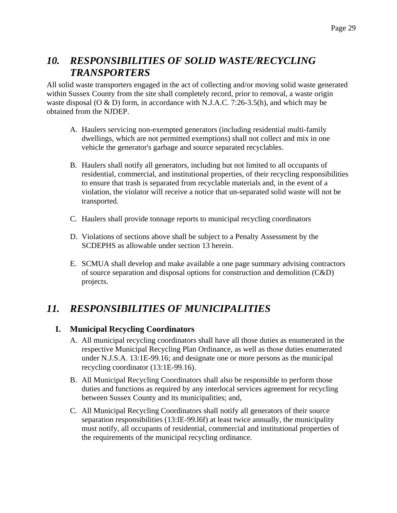### *10. RESPONSIBILITIES OF SOLID WASTE/RECYCLING TRANSPORTERS*

All solid waste transporters engaged in the act of collecting and/or moving solid waste generated within Sussex County from the site shall completely record, prior to removal, a waste origin waste disposal (O & D) form, in accordance with N.J.A.C. 7:26-3.5(h), and which may be obtained from the NJDEP.

- A. Haulers servicing non-exempted generators (including residential multi-family dwellings, which are not permitted exemptions) shall not collect and mix in one vehicle the generator's garbage and source separated recyclables.
- B. Haulers shall notify all generators, including but not limited to all occupants of residential, commercial, and institutional properties, of their recycling responsibilities to ensure that trash is separated from recyclable materials and, in the event of a violation, the violator will receive a notice that un-separated solid waste will not be transported.
- C. Haulers shall provide tonnage reports to municipal recycling coordinators
- D. Violations of sections above shall be subject to a Penalty Assessment by the SCDEPHS as allowable under section 13 herein.
- E. SCMUA shall develop and make available a one page summary advising contractors of source separation and disposal options for construction and demolition (C&D) projects.

## *11. RESPONSIBILITIES OF MUNICIPALITIES*

#### **I. Municipal Recycling Coordinators**

- A. All municipal recycling coordinators shall have all those duties as enumerated in the respective Municipal Recycling Plan Ordinance, as well as those duties enumerated under N.J.S.A. 13:1E-99.16; and designate one or more persons as the municipal recycling coordinator (13:1E-99.16).
- B. All Municipal Recycling Coordinators shall also be responsible to perform those duties and functions as required by any interlocal services agreement for recycling between Sussex County and its municipalities; and,
- C. All Municipal Recycling Coordinators shall notify all generators of their source separation responsibilities (13:IE-99.l6f) at least twice annually, the municipality must notify, all occupants of residential, commercial and institutional properties of the requirements of the municipal recycling ordinance.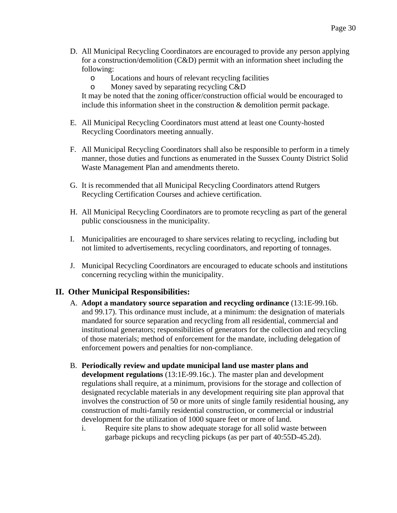- D. All Municipal Recycling Coordinators are encouraged to provide any person applying for a construction/demolition (C&D) permit with an information sheet including the following:
	- o Locations and hours of relevant recycling facilities
	- o Money saved by separating recycling C&D

It may be noted that the zoning officer/construction official would be encouraged to include this information sheet in the construction  $\&$  demolition permit package.

- E. All Municipal Recycling Coordinators must attend at least one County-hosted Recycling Coordinators meeting annually.
- F. All Municipal Recycling Coordinators shall also be responsible to perform in a timely manner, those duties and functions as enumerated in the Sussex County District Solid Waste Management Plan and amendments thereto.
- G. It is recommended that all Municipal Recycling Coordinators attend Rutgers Recycling Certification Courses and achieve certification.
- H. All Municipal Recycling Coordinators are to promote recycling as part of the general public consciousness in the municipality.
- I. Municipalities are encouraged to share services relating to recycling, including but not limited to advertisements, recycling coordinators, and reporting of tonnages.
- J. Municipal Recycling Coordinators are encouraged to educate schools and institutions concerning recycling within the municipality.

#### **II. Other Municipal Responsibilities:**

- A. **Adopt a mandatory source separation and recycling ordinance** (13:1E-99.16b. and 99.17). This ordinance must include, at a minimum: the designation of materials mandated for source separation and recycling from all residential, commercial and institutional generators; responsibilities of generators for the collection and recycling of those materials; method of enforcement for the mandate, including delegation of enforcement powers and penalties for non-compliance.
- B. **Periodically review and update municipal land use master plans and development regulations** (13:1E-99.16c.). The master plan and development regulations shall require, at a minimum, provisions for the storage and collection of designated recyclable materials in any development requiring site plan approval that involves the construction of 50 or more units of single family residential housing, any construction of multi-family residential construction, or commercial or industrial development for the utilization of 1000 square feet or more of land.
	- i. Require site plans to show adequate storage for all solid waste between garbage pickups and recycling pickups (as per part of 40:55D-45.2d).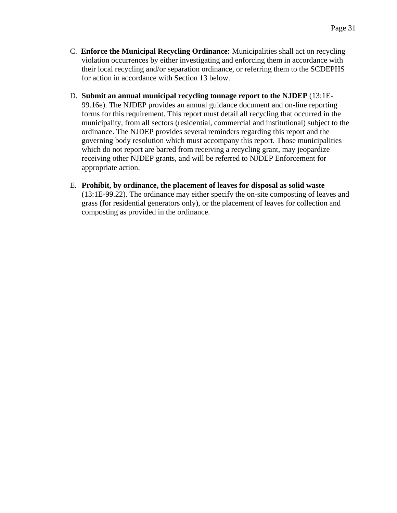- C. **Enforce the Municipal Recycling Ordinance:** Municipalities shall act on recycling violation occurrences by either investigating and enforcing them in accordance with their local recycling and/or separation ordinance, or referring them to the SCDEPHS for action in accordance with Section 13 below.
- D. **Submit an annual municipal recycling tonnage report to the NJDEP** (13:1E-99.16e). The NJDEP provides an annual guidance document and on-line reporting forms for this requirement. This report must detail all recycling that occurred in the municipality, from all sectors (residential, commercial and institutional) subject to the ordinance. The NJDEP provides several reminders regarding this report and the governing body resolution which must accompany this report. Those municipalities which do not report are barred from receiving a recycling grant, may jeopardize receiving other NJDEP grants, and will be referred to NJDEP Enforcement for appropriate action.
- E. **Prohibit, by ordinance, the placement of leaves for disposal as solid waste** (13:1E-99.22). The ordinance may either specify the on-site composting of leaves and grass (for residential generators only), or the placement of leaves for collection and composting as provided in the ordinance.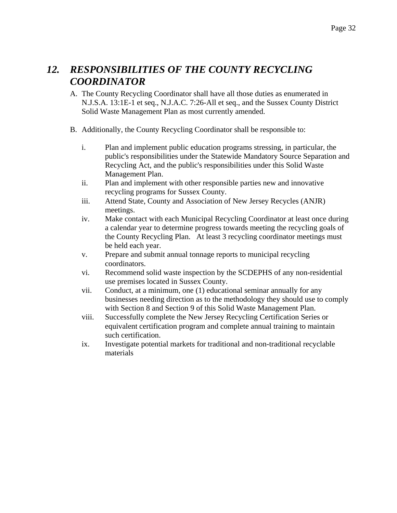### *12. RESPONSIBILITIES OF THE COUNTY RECYCLING COORDINATOR*

- A. The County Recycling Coordinator shall have all those duties as enumerated in N.J.S.A. 13:1E-1 et seq., N.J.A.C. 7:26-All et seq., and the Sussex County District Solid Waste Management Plan as most currently amended.
- B. Additionally, the County Recycling Coordinator shall be responsible to:
	- i. Plan and implement public education programs stressing, in particular, the public's responsibilities under the Statewide Mandatory Source Separation and Recycling Act, and the public's responsibilities under this Solid Waste Management Plan.
	- ii. Plan and implement with other responsible parties new and innovative recycling programs for Sussex County.
	- iii. Attend State, County and Association of New Jersey Recycles (ANJR) meetings.
	- iv. Make contact with each Municipal Recycling Coordinator at least once during a calendar year to determine progress towards meeting the recycling goals of the County Recycling Plan. At least 3 recycling coordinator meetings must be held each year.
	- v. Prepare and submit annual tonnage reports to municipal recycling coordinators.
	- vi. Recommend solid waste inspection by the SCDEPHS of any non-residential use premises located in Sussex County.
	- vii. Conduct, at a minimum, one (1) educational seminar annually for any businesses needing direction as to the methodology they should use to comply with Section 8 and Section 9 of this Solid Waste Management Plan.
	- viii. Successfully complete the New Jersey Recycling Certification Series or equivalent certification program and complete annual training to maintain such certification.
	- ix. Investigate potential markets for traditional and non-traditional recyclable materials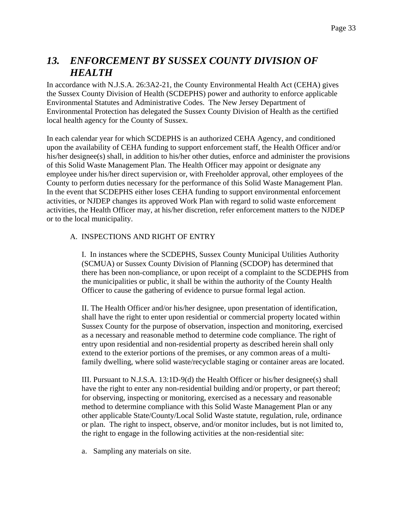## *13. ENFORCEMENT BY SUSSEX COUNTY DIVISION OF HEALTH*

In accordance with N.J.S.A. 26:3A2-21, the County Environmental Health Act (CEHA) gives the Sussex County Division of Health (SCDEPHS) power and authority to enforce applicable Environmental Statutes and Administrative Codes. The New Jersey Department of Environmental Protection has delegated the Sussex County Division of Health as the certified local health agency for the County of Sussex.

In each calendar year for which SCDEPHS is an authorized CEHA Agency, and conditioned upon the availability of CEHA funding to support enforcement staff, the Health Officer and/or his/her designee(s) shall, in addition to his/her other duties, enforce and administer the provisions of this Solid Waste Management Plan. The Health Officer may appoint or designate any employee under his/her direct supervision or, with Freeholder approval, other employees of the County to perform duties necessary for the performance of this Solid Waste Management Plan. In the event that SCDEPHS either loses CEHA funding to support environmental enforcement activities, or NJDEP changes its approved Work Plan with regard to solid waste enforcement activities, the Health Officer may, at his/her discretion, refer enforcement matters to the NJDEP or to the local municipality.

#### A. INSPECTIONS AND RIGHT OF ENTRY

I. In instances where the SCDEPHS, Sussex County Municipal Utilities Authority (SCMUA) or Sussex County Division of Planning (SCDOP) has determined that there has been non-compliance, or upon receipt of a complaint to the SCDEPHS from the municipalities or public, it shall be within the authority of the County Health Officer to cause the gathering of evidence to pursue formal legal action.

II. The Health Officer and/or his/her designee, upon presentation of identification, shall have the right to enter upon residential or commercial property located within Sussex County for the purpose of observation, inspection and monitoring, exercised as a necessary and reasonable method to determine code compliance. The right of entry upon residential and non-residential property as described herein shall only extend to the exterior portions of the premises, or any common areas of a multifamily dwelling, where solid waste/recyclable staging or container areas are located.

III. Pursuant to N.J.S.A. 13:1D-9(d) the Health Officer or his/her designee(s) shall have the right to enter any non-residential building and/or property, or part thereof; for observing, inspecting or monitoring, exercised as a necessary and reasonable method to determine compliance with this Solid Waste Management Plan or any other applicable State/County/Local Solid Waste statute, regulation, rule, ordinance or plan. The right to inspect, observe, and/or monitor includes, but is not limited to, the right to engage in the following activities at the non-residential site:

a. Sampling any materials on site.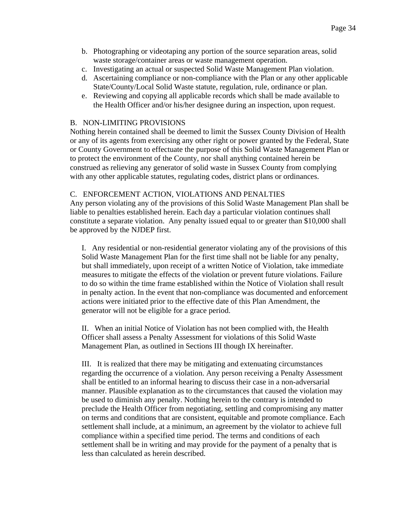- b. Photographing or videotaping any portion of the source separation areas, solid waste storage/container areas or waste management operation.
- c. Investigating an actual or suspected Solid Waste Management Plan violation.
- d. Ascertaining compliance or non-compliance with the Plan or any other applicable State/County/Local Solid Waste statute, regulation, rule, ordinance or plan.
- e. Reviewing and copying all applicable records which shall be made available to the Health Officer and/or his/her designee during an inspection, upon request.

#### B. NON-LIMITING PROVISIONS

Nothing herein contained shall be deemed to limit the Sussex County Division of Health or any of its agents from exercising any other right or power granted by the Federal, State or County Government to effectuate the purpose of this Solid Waste Management Plan or to protect the environment of the County, nor shall anything contained herein be construed as relieving any generator of solid waste in Sussex County from complying with any other applicable statutes, regulating codes, district plans or ordinances.

#### C. ENFORCEMENT ACTION, VIOLATIONS AND PENALTIES

Any person violating any of the provisions of this Solid Waste Management Plan shall be liable to penalties established herein. Each day a particular violation continues shall constitute a separate violation. Any penalty issued equal to or greater than \$10,000 shall be approved by the NJDEP first.

I. Any residential or non-residential generator violating any of the provisions of this Solid Waste Management Plan for the first time shall not be liable for any penalty, but shall immediately, upon receipt of a written Notice of Violation, take immediate measures to mitigate the effects of the violation or prevent future violations. Failure to do so within the time frame established within the Notice of Violation shall result in penalty action. In the event that non-compliance was documented and enforcement actions were initiated prior to the effective date of this Plan Amendment, the generator will not be eligible for a grace period.

II. When an initial Notice of Violation has not been complied with, the Health Officer shall assess a Penalty Assessment for violations of this Solid Waste Management Plan, as outlined in Sections III though IX hereinafter.

III. It is realized that there may be mitigating and extenuating circumstances regarding the occurrence of a violation. Any person receiving a Penalty Assessment shall be entitled to an informal hearing to discuss their case in a non-adversarial manner. Plausible explanation as to the circumstances that caused the violation may be used to diminish any penalty. Nothing herein to the contrary is intended to preclude the Health Officer from negotiating, settling and compromising any matter on terms and conditions that are consistent, equitable and promote compliance. Each settlement shall include, at a minimum, an agreement by the violator to achieve full compliance within a specified time period. The terms and conditions of each settlement shall be in writing and may provide for the payment of a penalty that is less than calculated as herein described.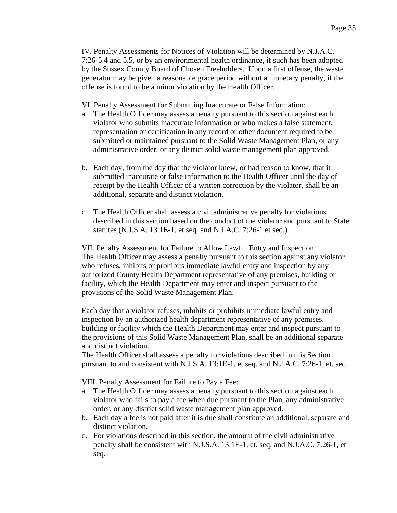IV. Penalty Assessments for Notices of Violation will be determined by N.J.A.C. 7:26-5.4 and 5.5, or by an environmental health ordinance, if such has been adopted by the Sussex County Board of Chosen Freeholders. Upon a first offense, the waste generator may be given a reasonable grace period without a monetary penalty, if the offense is found to be a minor violation by the Health Officer.

VI. Penalty Assessment for Submitting Inaccurate or False Information:

- a. The Health Officer may assess a penalty pursuant to this section against each violator who submits inaccurate information or who makes a false statement, representation or certification in any record or other document required to be submitted or maintained pursuant to the Solid Waste Management Plan, or any administrative order, or any district solid waste management plan approved.
- b. Each day, from the day that the violator knew, or had reason to know, that it submitted inaccurate or false information to the Health Officer until the day of receipt by the Health Officer of a written correction by the violator, shall be an additional, separate and distinct violation.
- c. The Health Officer shall assess a civil administrative penalty for violations described in this section based on the conduct of the violator and pursuant to State statutes (N.J.S.A. 13:1E-1, et seq. and N.J.A.C. 7:26-1 et seq.)

VII. Penalty Assessment for Failure to Allow Lawful Entry and Inspection: The Health Officer may assess a penalty pursuant to this section against any violator who refuses, inhibits or prohibits immediate lawful entry and inspection by any authorized County Health Department representative of any premises, building or facility, which the Health Department may enter and inspect pursuant to the provisions of the Solid Waste Management Plan.

Each day that a violator refuses, inhibits or prohibits immediate lawful entry and inspection by an authorized health department representative of any premises, building or facility which the Health Department may enter and inspect pursuant to the provisions of this Solid Waste Management Plan, shall be an additional separate and distinct violation.

The Health Officer shall assess a penalty for violations described in this Section pursuant to and consistent with N.J.S.A. 13:1E-1, et seq. and N.J.A.C. 7:26-1, et. seq.

VIII. Penalty Assessment for Failure to Pay a Fee:

- a. The Health Officer may assess a penalty pursuant to this section against each violator who fails to pay a fee when due pursuant to the Plan, any administrative order, or any district solid waste management plan approved.
- b. Each day a fee is not paid after it is due shall constitute an additional, separate and distinct violation.
- c. For violations described in this section, the amount of the civil administrative penalty shall be consistent with N.J.S.A. 13:1E-1, et. seq. and N.J.A.C. 7:26-1, et seq.